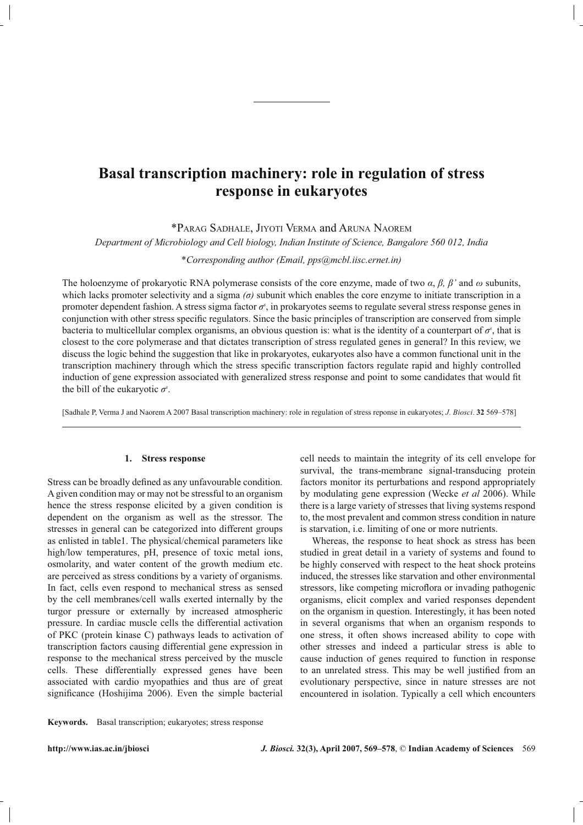# **Basal transcription machinery: role in regulation of stress response in eukaryotes**

\*PARAG SADHALE, JIYOTI VERMA and ARUNA NAOREM

*Department of Microbiology and Cell biology, Indian Institute of Science, Bangalore 560 012, India* 

\**Corresponding author (Email, pps@mcbl.iisc.ernet.in)*

The holoenzyme of prokaryotic RNA polymerase consists of the core enzyme, made of two *α*, *β, β'* and *ω* subunits, which lacks promoter selectivity and a sigma *(σ)* subunit which enables the core enzyme to initiate transcription in a promoter dependent fashion. A stress sigma factor *σs* , in prokaryotes seems to regulate several stress response genes in conjunction with other stress specific regulators. Since the basic principles of transcription are conserved from simple bacteria to multicellular complex organisms, an obvious question is: what is the identity of a counterpart of *σs* , that is closest to the core polymerase and that dictates transcription of stress regulated genes in general? In this review, we discuss the logic behind the suggestion that like in prokaryotes, eukaryotes also have a common functional unit in the transcription machinery through which the stress specific transcription factors regulate rapid and highly controlled induction of gene expression associated with generalized stress response and point to some candidates that would fit the bill of the eukaryotic *σs* .

[Sadhale P, Verma J and Naorem A 2007 Basal transcription machinery: role in regulation of stress reponse in eukaryotes; *J. Biosci*. **32** 569–578]

### **1. Stress response**

Stress can be broadly defined as any unfavourable condition. A given condition may or may not be stressful to an organism hence the stress response elicited by a given condition is dependent on the organism as well as the stressor. The stresses in general can be categorized into different groups as enlisted in table1. The physical/chemical parameters like high/low temperatures, pH, presence of toxic metal ions, osmolarity, and water content of the growth medium etc. are perceived as stress conditions by a variety of organisms. In fact, cells even respond to mechanical stress as sensed by the cell membranes/cell walls exerted internally by the turgor pressure or externally by increased atmospheric pressure. In cardiac muscle cells the differential activation of PKC (protein kinase C) pathways leads to activation of transcription factors causing differential gene expression in response to the mechanical stress perceived by the muscle cells. These differentially expressed genes have been associated with cardio myopathies and thus are of great significance (Hoshijima 2006). Even the simple bacterial cell needs to maintain the integrity of its cell envelope for survival, the trans-membrane signal-transducing protein factors monitor its perturbations and respond appropriately by modulating gene expression (Wecke *et al* 2006). While there is a large variety of stresses that living systems respond to, the most prevalent and common stress condition in nature is starvation, i.e. limiting of one or more nutrients.

Whereas, the response to heat shock as stress has been studied in great detail in a variety of systems and found to be highly conserved with respect to the heat shock proteins induced, the stresses like starvation and other environmental stressors, like competing microflora or invading pathogenic organisms, elicit complex and varied responses dependent on the organism in question. Interestingly, it has been noted in several organisms that when an organism responds to one stress, it often shows increased ability to cope with other stresses and indeed a particular stress is able to cause induction of genes required to function in response to an unrelated stress. This may be well justified from an evolutionary perspective, since in nature stresses are not encountered in isolation. Typically a cell which encounters

**Keywords.** Basal transcription; eukaryotes; stress response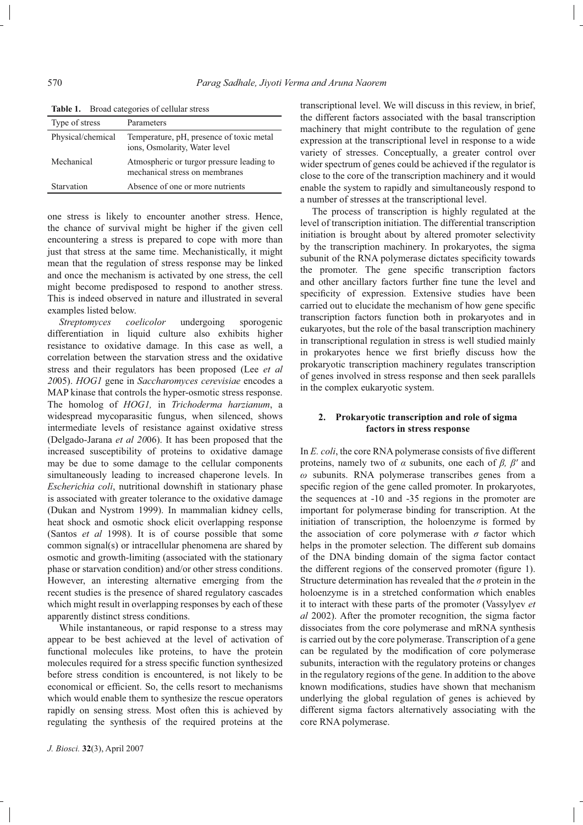| Type of stress    | Parameters                                                                  |
|-------------------|-----------------------------------------------------------------------------|
| Physical/chemical | Temperature, pH, presence of toxic metal<br>ions, Osmolarity, Water level   |
| Mechanical        | Atmospheric or turgor pressure leading to<br>mechanical stress on membranes |
| Starvation        | Absence of one or more nutrients                                            |

**Table 1.** Broad categories of cellular stress

one stress is likely to encounter another stress. Hence, the chance of survival might be higher if the given cell encountering a stress is prepared to cope with more than just that stress at the same time. Mechanistically, it might mean that the regulation of stress response may be linked and once the mechanism is activated by one stress, the cell might become predisposed to respond to another stress. This is indeed observed in nature and illustrated in several examples listed below.

*Streptomyces coelicolor* undergoing sporogenic differentiation in liquid culture also exhibits higher resistance to oxidative damage. In this case as well, a correlation between the starvation stress and the oxidative stress and their regulators has been proposed (Lee *et al 20*05). *HOG1* gene in *Saccharomyces cerevisiae* encodes a MAP kinase that controls the hyper-osmotic stress response. The homolog of *HOG1,* in *Trichoderma harzianum*, a widespread mycoparasitic fungus, when silenced, shows intermediate levels of resistance against oxidative stress (Delgado-Jarana *et al 20*06). It has been proposed that the increased susceptibility of proteins to oxidative damage may be due to some damage to the cellular components simultaneously leading to increased chaperone levels. In *Escherichia coli*, nutritional downshift in stationary phase is associated with greater tolerance to the oxidative damage (Dukan and Nystrom 1999). In mammalian kidney cells, heat shock and osmotic shock elicit overlapping response (Santos *et al* 1998). It is of course possible that some common signal(s) or intracellular phenomena are shared by osmotic and growth-limiting (associated with the stationary phase or starvation condition) and/or other stress conditions. However, an interesting alternative emerging from the recent studies is the presence of shared regulatory cascades which might result in overlapping responses by each of these apparently distinct stress conditions.

While instantaneous, or rapid response to a stress may appear to be best achieved at the level of activation of functional molecules like proteins, to have the protein molecules required for a stress specific function synthesized before stress condition is encountered, is not likely to be economical or efficient. So, the cells resort to mechanisms which would enable them to synthesize the rescue operators rapidly on sensing stress. Most often this is achieved by regulating the synthesis of the required proteins at the transcriptional level. We will discuss in this review, in brief, the different factors associated with the basal transcription machinery that might contribute to the regulation of gene expression at the transcriptional level in response to a wide variety of stresses. Conceptually, a greater control over wider spectrum of genes could be achieved if the regulator is close to the core of the transcription machinery and it would enable the system to rapidly and simultaneously respond to a number of stresses at the transcriptional level.

The process of transcription is highly regulated at the level of transcription initiation. The differential transcription initiation is brought about by altered promoter selectivity by the transcription machinery. In prokaryotes, the sigma subunit of the RNA polymerase dictates specificity towards the promoter. The gene specific transcription factors and other ancillary factors further fine tune the level and specificity of expression. Extensive studies have been carried out to elucidate the mechanism of how gene specific transcription factors function both in prokaryotes and in eukaryotes, but the role of the basal transcription machinery in transcriptional regulation in stress is well studied mainly in prokaryotes hence we first briefly discuss how the prokaryotic transcription machinery regulates transcription of genes involved in stress response and then seek parallels in the complex eukaryotic system.

# **2. Prokaryotic transcription and role of sigma factors in stress response**

In *E. coli*, the core RNA polymerase consists of five different proteins, namely two of *α* subunits, one each of *β, β′* and *ω* subunits. RNA polymerase transcribes genes from a specific region of the gene called promoter. In prokaryotes, the sequences at -10 and -35 regions in the promoter are important for polymerase binding for transcription. At the initiation of transcription, the holoenzyme is formed by the association of core polymerase with  $\sigma$  factor which helps in the promoter selection. The different sub domains of the DNA binding domain of the sigma factor contact the different regions of the conserved promoter (figure 1). Structure determination has revealed that the *σ* protein in the holoenzyme is in a stretched conformation which enables it to interact with these parts of the promoter (Vassylyev *et al* 2002). After the promoter recognition, the sigma factor dissociates from the core polymerase and mRNA synthesis is carried out by the core polymerase. Transcription of a gene can be regulated by the modification of core polymerase subunits, interaction with the regulatory proteins or changes in the regulatory regions of the gene. In addition to the above known modifications, studies have shown that mechanism underlying the global regulation of genes is achieved by different sigma factors alternatively associating with the core RNA polymerase.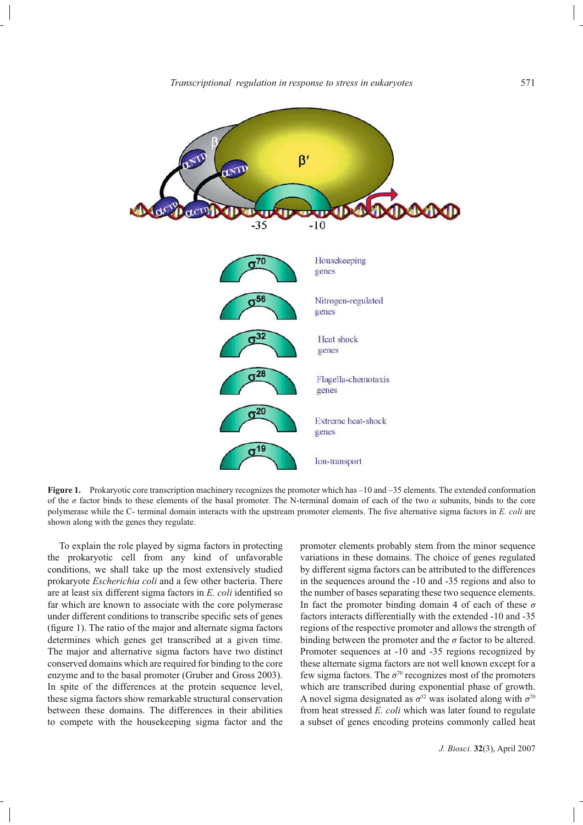

**Figure 1.** Prokaryotic core transcription machinery recognizes the promoter which has  $-10$  and  $-35$  elements. The extended conformation of the *σ* factor binds to these elements of the basal promoter. The N-terminal domain of each of the two *α* subunits, binds to the core polymerase while the C- terminal domain interacts with the upstream promoter elements. The five alternative sigma factors in *E. coli* are shown along with the genes they regulate.

To explain the role played by sigma factors in protecting the prokaryotic cell from any kind of unfavorable conditions, we shall take up the most extensively studied prokaryote *Escherichia coli* and a few other bacteria. There are at least six different sigma factors in *E. coli* identified so far which are known to associate with the core polymerase under different conditions to transcribe specific sets of genes (figure 1). The ratio of the major and alternate sigma factors determines which genes get transcribed at a given time. The major and alternative sigma factors have two distinct conserved domains which are required for binding to the core enzyme and to the basal promoter (Gruber and Gross 2003). In spite of the differences at the protein sequence level, these sigma factors show remarkable structural conservation between these domains. The differences in their abilities to compete with the housekeeping sigma factor and the

promoter elements probably stem from the minor sequence variations in these domains. The choice of genes regulated by different sigma factors can be attributed to the differences in the sequences around the -10 and -35 regions and also to the number of bases separating these two sequence elements. In fact the promoter binding domain 4 of each of these *σ* factors interacts differentially with the extended -10 and -35 regions of the respective promoter and allows the strength of binding between the promoter and the  $\sigma$  factor to be altered. Promoter sequences at -10 and -35 regions recognized by these alternate sigma factors are not well known except for a few sigma factors. The  $\sigma^{70}$  recognizes most of the promoters which are transcribed during exponential phase of growth. A novel sigma designated as  $\sigma^{32}$  was isolated along with  $\sigma^{70}$ from heat stressed *E. coli* which was later found to regulate a subset of genes encoding proteins commonly called heat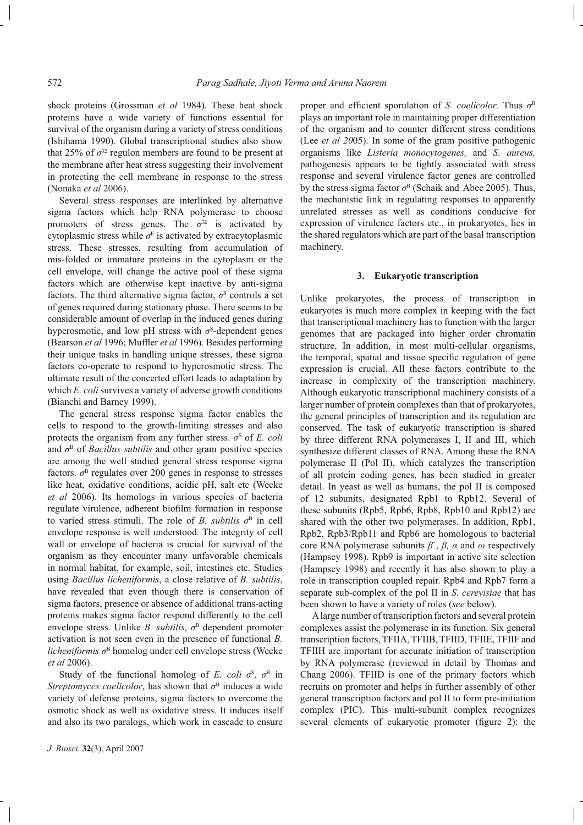shock proteins (Grossman *et al* 1984). These heat shock proteins have a wide variety of functions essential for survival of the organism during a variety of stress conditions (Ishihama 1990). Global transcriptional studies also show that 25% of  $\sigma^{32}$  regulon members are found to be present at the membrane after heat stress suggesting their involvement in protecting the cell membrane in response to the stress (Nonaka *et al* 2006).

Several stress responses are interlinked by alternative sigma factors which help RNA polymerase to choose promoters of stress genes. The  $\sigma^{32}$  is activated by cytoplasmic stress while  $\sigma^E$  is activated by extracytoplasmic stress. These stresses, resulting from accumulation of mis-folded or immature proteins in the cytoplasm or the cell envelope, will change the active pool of these sigma factors which are otherwise kept inactive by anti-sigma factors. The third alternative sigma factor,  $\sigma$ <sup>s</sup> controls a set of genes required during stationary phase. There seems to be considerable amount of overlap in the induced genes during hyperosmotic, and low pH stress with *σ*<sup>S</sup>-dependent genes (Bearson *et al* 1996; Muffler *et al* 1996). Besides performing their unique tasks in handling unique stresses, these sigma factors co-operate to respond to hyperosmotic stress. The ultimate result of the concerted effort leads to adaptation by which *E. coli* survives a variety of adverse growth conditions (Bianchi and Barney 1999).

The general stress response sigma factor enables the cells to respond to the growth-limiting stresses and also protects the organism from any further stress.  $\sigma^S$  of *E. coli* and  $\sigma^B$  of *Bacillus subtilis* and other gram positive species are among the well studied general stress response sigma factors.  $\sigma^B$  regulates over 200 genes in response to stresses like heat, oxidative conditions, acidic pH, salt etc (Wecke *et al* 2006). Its homologs in various species of bacteria regulate virulence, adherent biofilm formation in response to varied stress stimuli. The role of *B*. *subtilis*  $\sigma^B$  in cell envelope response is well understood. The integrity of cell wall or envelope of bacteria is crucial for survival of the organism as they encounter many unfavorable chemicals in normal habitat, for example, soil, intestines etc. Studies using *Bacillus licheniformis*, a close relative of *B. subtilis*, have revealed that even though there is conservation of sigma factors, presence or absence of additional trans-acting proteins makes sigma factor respond differently to the cell envelope stress. Unlike *B. subtilis*,  $\sigma^B$  dependent promoter activation is not seen even in the presence of functional *B. licheniformis* σ<sup>B</sup> homolog under cell envelope stress (Wecke *et al* 2006).

Study of the functional homolog of *E. coli*  $\sigma^s$ ,  $\sigma^B$  in *Streptomyces coelicolor*, has shown that  $\sigma^B$  induces a wide variety of defense proteins, sigma factors to overcome the osmotic shock as well as oxidative stress. It induces itself and also its two paralogs, which work in cascade to ensure

proper and efficient sporulation of *S. coelicolor*. Thus  $σ<sup>B</sup>$ plays an important role in maintaining proper differentiation of the organism and to counter different stress conditions (Lee *et al 20*05). In some of the gram positive pathogenic organisms like *Listeria monocytogenes,* and *S. aureus,*  pathogenesis appears to be tightly associated with stress response and several virulence factor genes are controlled by the stress sigma factor  $\sigma^B$  (Schaik and Abee 2005). Thus, the mechanistic link in regulating responses to apparently unrelated stresses as well as conditions conducive for expression of virulence factors etc., in prokaryotes, lies in the shared regulators which are part of the basal transcription machinery.

### **3. Eukaryotic transcription**

Unlike prokaryotes, the process of transcription in eukaryotes is much more complex in keeping with the fact that transcriptional machinery has to function with the larger genomes that are packaged into higher order chromatin structure. In addition, in most multi-cellular organisms, the temporal, spatial and tissue specific regulation of gene expression is crucial. All these factors contribute to the increase in complexity of the transcription machinery. Although eukaryotic transcriptional machinery consists of a larger number of protein complexes than that of prokaryotes, the general principles of transcription and its regulation are conserved. The task of eukaryotic transcription is shared by three different RNA polymerases I, II and III, which synthesize different classes of RNA. Among these the RNA polymerase II (Pol II), which catalyzes the transcription of all protein coding genes, has been studied in greater detail. In yeast as well as humans, the pol II is composed of 12 subunits, designated Rpb1 to Rpb12. Several of these subunits (Rpb5, Rpb6, Rpb8, Rpb10 and Rpb12) are shared with the other two polymerases. In addition, Rpb1, Rpb2, Rpb3/Rpb11 and Rpb6 are homologous to bacterial core RNA polymerase subunits *β*´, *β, α* and *ω* respectively (Hampsey 1998). Rpb9 is important in active site selection (Hampsey 1998) and recently it has also shown to play a role in transcription coupled repair. Rpb4 and Rpb7 form a separate sub-complex of the pol II in *S. cerevisiae* that has been shown to have a variety of roles (*see* below).

A large number of transcription factors and several protein complexes assist the polymerase in its function. Six general transcription factors, TFIIA, TFIIB, TFIID, TFIIE, TFIIF and TFIIH are important for accurate initiation of transcription by RNA polymerase (reviewed in detail by Thomas and Chang 2006). TFIID is one of the primary factors which recruits on promoter and helps in further assembly of other general transcription factors and pol II to form pre-initiation complex (PIC). This multi-subunit complex recognizes several elements of eukaryotic promoter (figure 2): the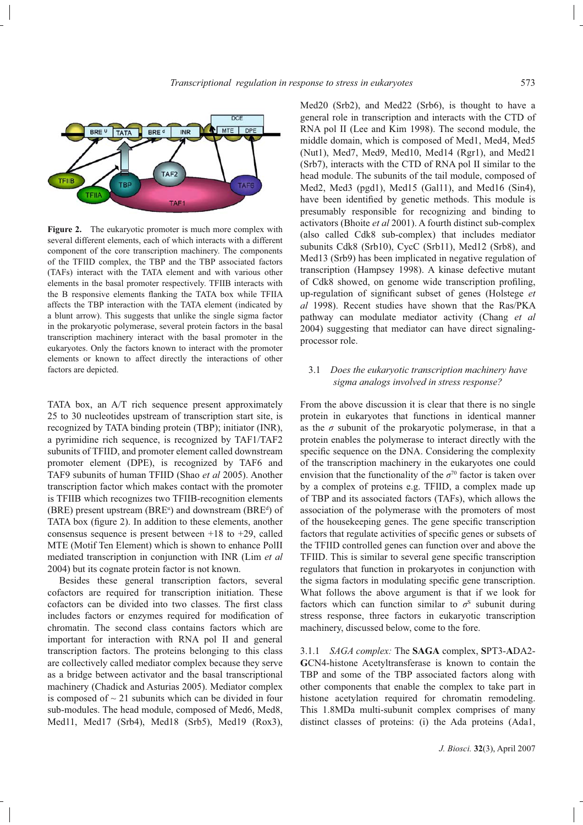

**Figure 2.** The eukaryotic promoter is much more complex with several different elements, each of which interacts with a different component of the core transcription machinery. The components of the TFIID complex, the TBP and the TBP associated factors (TAFs) interact with the TATA element and with various other elements in the basal promoter respectively. TFIIB interacts with the B responsive elements flanking the TATA box while TFIIA affects the TBP interaction with the TATA element (indicated by a blunt arrow). This suggests that unlike the single sigma factor in the prokaryotic polymerase, several protein factors in the basal transcription machinery interact with the basal promoter in the eukaryotes. Only the factors known to interact with the promoter elements or known to affect directly the interactions of other factors are depicted.

TATA box, an A/T rich sequence present approximately 25 to 30 nucleotides upstream of transcription start site, is recognized by TATA binding protein (TBP); initiator (INR), a pyrimidine rich sequence, is recognized by TAF1/TAF2 subunits of TFIID, and promoter element called downstream promoter element (DPE), is recognized by TAF6 and TAF9 subunits of human TFIID (Shao *et al* 2005). Another transcription factor which makes contact with the promoter is TFIIB which recognizes two TFIIB-recognition elements (BRE) present upstream (BRE<sup>u</sup>) and downstream (BRE<sup>d</sup>) of TATA box (figure 2). In addition to these elements, another consensus sequence is present between  $+18$  to  $+29$ , called MTE (Motif Ten Element) which is shown to enhance PolII mediated transcription in conjunction with INR (Lim *et al* 2004) but its cognate protein factor is not known.

Besides these general transcription factors, several cofactors are required for transcription initiation. These cofactors can be divided into two classes. The first class includes factors or enzymes required for modification of chromatin. The second class contains factors which are important for interaction with RNA pol II and general transcription factors. The proteins belonging to this class are collectively called mediator complex because they serve as a bridge between activator and the basal transcriptional machinery (Chadick and Asturias 2005). Mediator complex is composed of  $\sim$  21 subunits which can be divided in four sub-modules. The head module, composed of Med6, Med8, Med11, Med17 (Srb4), Med18 (Srb5), Med19 (Rox3),

Med20 (Srb2), and Med22 (Srb6), is thought to have a general role in transcription and interacts with the CTD of RNA pol II (Lee and Kim 1998). The second module, the middle domain, which is composed of Med1, Med4, Med5 (Nut1), Med7, Med9, Med10, Med14 (Rgr1), and Med21 (Srb7), interacts with the CTD of RNA pol II similar to the head module. The subunits of the tail module, composed of Med2, Med3 (pgd1), Med15 (Gal11), and Med16 (Sin4), have been identified by genetic methods. This module is presumably responsible for recognizing and binding to activators (Bhoite *et al* 2001). A fourth distinct sub-complex (also called Cdk8 sub-complex) that includes mediator subunits Cdk8 (Srb10), CycC (Srb11), Med12 (Srb8), and Med13 (Srb9) has been implicated in negative regulation of transcription (Hampsey 1998). A kinase defective mutant of Cdk8 showed, on genome wide transcription profiling, up-regulation of significant subset of genes (Holstege *et al* 1998). Recent studies have shown that the Ras/PKA pathway can modulate mediator activity (Chang *et al* 2004) suggesting that mediator can have direct signalingprocessor role.

## 3.1 *Does the eukaryotic transcription machinery have sigma analogs involved in stress response?*

From the above discussion it is clear that there is no single protein in eukaryotes that functions in identical manner as the  $\sigma$  subunit of the prokaryotic polymerase, in that a protein enables the polymerase to interact directly with the specific sequence on the DNA. Considering the complexity of the transcription machinery in the eukaryotes one could envision that the functionality of the  $\sigma^{70}$  factor is taken over by a complex of proteins e.g. TFIID, a complex made up of TBP and its associated factors (TAFs), which allows the association of the polymerase with the promoters of most of the housekeeping genes. The gene specific transcription factors that regulate activities of specific genes or subsets of the TFIID controlled genes can function over and above the TFIID. This is similar to several gene specific transcription regulators that function in prokaryotes in conjunction with the sigma factors in modulating specific gene transcription. What follows the above argument is that if we look for factors which can function similar to  $\sigma$ <sup>S</sup> subunit during stress response, three factors in eukaryotic transcription machinery, discussed below, come to the fore.

3.1.1 *SAGA complex:* The **SAGA** complex, **S**PT3-**A**DA2- **G**CN4-histone Acetyltransferase is known to contain the TBP and some of the TBP associated factors along with other components that enable the complex to take part in histone acetylation required for chromatin remodeling. This 1.8MDa multi-subunit complex comprises of many distinct classes of proteins: (i) the Ada proteins (Ada1,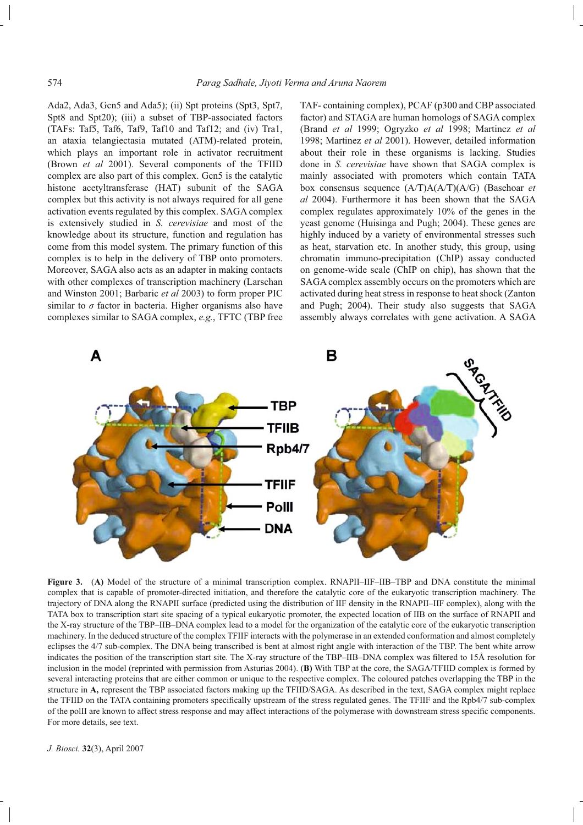Ada2, Ada3, Gcn5 and Ada5); (ii) Spt proteins (Spt3, Spt7, Spt8 and Spt20); (iii) a subset of TBP-associated factors (TAFs: Taf5, Taf6, Taf9, Taf10 and Taf12; and (iv) Tra1, an ataxia telangiectasia mutated (ATM)-related protein, which plays an important role in activator recruitment (Brown *et al* 2001). Several components of the TFIID complex are also part of this complex. Gcn5 is the catalytic histone acetyltransferase (HAT) subunit of the SAGA complex but this activity is not always required for all gene activation events regulated by this complex. SAGA complex is extensively studied in *S. cerevisiae* and most of the knowledge about its structure, function and regulation has come from this model system. The primary function of this complex is to help in the delivery of TBP onto promoters. Moreover, SAGA also acts as an adapter in making contacts with other complexes of transcription machinery (Larschan and Winston 2001; Barbaric *et al* 2003) to form proper PIC similar to  $\sigma$  factor in bacteria. Higher organisms also have complexes similar to SAGA complex, *e.g.*, TFTC (TBP free TAF- containing complex), PCAF (p300 and CBP associated factor) and STAGA are human homologs of SAGA complex (Brand *et al* 1999; Ogryzko *et al* 1998; Martinez *et al* 1998; Martinez *et al* 2001). However, detailed information about their role in these organisms is lacking. Studies done in *S. cerevisiae* have shown that SAGA complex is mainly associated with promoters which contain TATA box consensus sequence (A/T)A(A/T)(A/G) (Basehoar *et al* 2004). Furthermore it has been shown that the SAGA complex regulates approximately 10% of the genes in the yeast genome (Huisinga and Pugh; 2004). These genes are highly induced by a variety of environmental stresses such as heat, starvation etc. In another study, this group, using chromatin immuno-precipitation (ChIP) assay conducted on genome-wide scale (ChIP on chip), has shown that the SAGA complex assembly occurs on the promoters which are activated during heat stress in response to heat shock (Zanton and Pugh; 2004). Their study also suggests that SAGA assembly always correlates with gene activation. A SAGA



**Figure 3.** (**A)** Model of the structure of a minimal transcription complex. RNAPII–IIF–IIB–TBP and DNA constitute the minimal complex that is capable of promoter-directed initiation, and therefore the catalytic core of the eukaryotic transcription machinery. The trajectory of DNA along the RNAPII surface (predicted using the distribution of IIF density in the RNAPII–IIF complex), along with the TATA box to transcription start site spacing of a typical eukaryotic promoter, the expected location of IIB on the surface of RNAPII and the X-ray structure of the TBP–IIB–DNA complex lead to a model for the organization of the catalytic core of the eukaryotic transcription machinery. In the deduced structure of the complex TFIIF interacts with the polymerase in an extended conformation and almost completely eclipses the 4/7 sub-complex. The DNA being transcribed is bent at almost right angle with interaction of the TBP. The bent white arrow indicates the position of the transcription start site. The X-ray structure of the TBP–IIB–DNA complex was filtered to 15Å resolution for inclusion in the model (reprinted with permission from Asturias 2004). (**B)** With TBP at the core, the SAGA/TFIID complex is formed by several interacting proteins that are either common or unique to the respective complex. The coloured patches overlapping the TBP in the structure in **A,** represent the TBP associated factors making up the TFIID/SAGA. As described in the text, SAGA complex might replace the TFIID on the TATA containing promoters specifically upstream of the stress regulated genes. The TFIIF and the Rpb4/7 sub-complex of the polII are known to affect stress response and may affect interactions of the polymerase with downstream stress specifi c components. For more details, see text.

*J. Biosci.* **32**(3), April 2007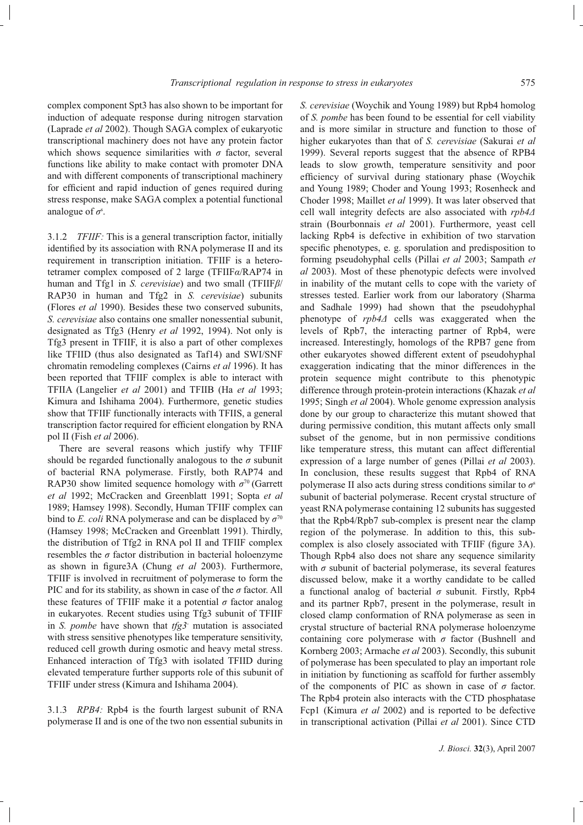complex component Spt3 has also shown to be important for induction of adequate response during nitrogen starvation (Laprade *et al* 2002). Though SAGA complex of eukaryotic transcriptional machinery does not have any protein factor which shows sequence similarities with  $\sigma$  factor, several functions like ability to make contact with promoter DNA and with different components of transcriptional machinery for efficient and rapid induction of genes required during stress response, make SAGA complex a potential functional analogue of *σ*<sup>s</sup> .

3.1.2 *TFIIF:* This is a general transcription factor, initially identified by its association with RNA polymerase II and its requirement in transcription initiation. TFIIF is a heterotetramer complex composed of 2 large (TFIIF*α*/RAP74 in human and Tfg1 in *S. cerevisiae*) and two small (TFIIF*β*/ RAP30 in human and Tfg2 in *S. cerevisiae*) subunits (Flores *et al* 1990). Besides these two conserved subunits, *S. cerevisiae* also contains one smaller nonessential subunit, designated as Tfg3 (Henry *et al* 1992, 1994). Not only is Tfg3 present in TFIIF, it is also a part of other complexes like TFIID (thus also designated as Taf14) and SWI/SNF chromatin remodeling complexes (Cairns *et al* 1996). It has been reported that TFIIF complex is able to interact with TFIIA (Langelier *et al* 2001) and TFIIB (Ha *et al* 1993; Kimura and Ishihama 2004). Furthermore, genetic studies show that TFIIF functionally interacts with TFIIS, a general transcription factor required for efficient elongation by RNA pol II (Fish *et al* 2006).

There are several reasons which justify why TFIIF should be regarded functionally analogous to the  $\sigma$  subunit of bacterial RNA polymerase. Firstly, both RAP74 and RAP30 show limited sequence homology with  $\sigma^{70}$  (Garrett *et al* 1992; McCracken and Greenblatt 1991; Sopta *et al* 1989; Hamsey 1998). Secondly, Human TFIIF complex can bind to *E. coli* RNA polymerase and can be displaced by *σ*<sup>70</sup> (Hamsey 1998; McCracken and Greenblatt 1991). Thirdly, the distribution of Tfg2 in RNA pol II and TFIIF complex resembles the  $\sigma$  factor distribution in bacterial holoenzyme as shown in figure3A (Chung *et al* 2003). Furthermore, TFIIF is involved in recruitment of polymerase to form the PIC and for its stability, as shown in case of the *σ* factor. All these features of TFIIF make it a potential  $\sigma$  factor analog in eukaryotes. Recent studies using Tfg3 subunit of TFIIF in *S. pombe* have shown that *tfg3-* mutation is associated with stress sensitive phenotypes like temperature sensitivity, reduced cell growth during osmotic and heavy metal stress. Enhanced interaction of Tfg3 with isolated TFIID during elevated temperature further supports role of this subunit of TFIIF under stress (Kimura and Ishihama 2004).

3.1.3 *RPB4:* Rpb4 is the fourth largest subunit of RNA polymerase II and is one of the two non essential subunits in

*S. cerevisiae* (Woychik and Young 1989) but Rpb4 homolog of *S. pombe* has been found to be essential for cell viability and is more similar in structure and function to those of higher eukaryotes than that of *S. cerevisiae* (Sakurai *et al* 1999). Several reports suggest that the absence of RPB4 leads to slow growth, temperature sensitivity and poor efficiency of survival during stationary phase (Woychik and Young 1989; Choder and Young 1993; Rosenheck and Choder 1998; Maillet *et al* 1999). It was later observed that cell wall integrity defects are also associated with *rpb4Δ* strain (Bourbonnais *et al* 2001). Furthermore, yeast cell lacking Rpb4 is defective in exhibition of two starvation specific phenotypes, e. g. sporulation and predisposition to forming pseudohyphal cells (Pillai *et al* 2003; Sampath *et al* 2003). Most of these phenotypic defects were involved in inability of the mutant cells to cope with the variety of stresses tested. Earlier work from our laboratory (Sharma and Sadhale 1999) had shown that the pseudohyphal phenotype of *rpb4Δ* cells was exaggerated when the levels of Rpb7, the interacting partner of Rpb4, were increased. Interestingly, homologs of the RPB7 gene from other eukaryotes showed different extent of pseudohyphal exaggeration indicating that the minor differences in the protein sequence might contribute to this phenotypic difference through protein-protein interactions (Khazak *et al* 1995; Singh *et al* 2004). Whole genome expression analysis done by our group to characterize this mutant showed that during permissive condition, this mutant affects only small subset of the genome, but in non permissive conditions like temperature stress, this mutant can affect differential expression of a large number of genes (Pillai *et al* 2003). In conclusion, these results suggest that Rpb4 of RNA polymerase II also acts during stress conditions similar to *σ*<sup>s</sup> subunit of bacterial polymerase. Recent crystal structure of yeast RNA polymerase containing 12 subunits has suggested that the Rpb4/Rpb7 sub-complex is present near the clamp region of the polymerase. In addition to this, this subcomplex is also closely associated with TFIIF (figure 3A). Though Rpb4 also does not share any sequence similarity with  $\sigma$  subunit of bacterial polymerase, its several features discussed below, make it a worthy candidate to be called a functional analog of bacterial *σ* subunit. Firstly, Rpb4 and its partner Rpb7, present in the polymerase, result in closed clamp conformation of RNA polymerase as seen in crystal structure of bacterial RNA polymerase holoenzyme containing core polymerase with *σ* factor (Bushnell and Kornberg 2003; Armache *et al* 2003). Secondly, this subunit of polymerase has been speculated to play an important role in initiation by functioning as scaffold for further assembly of the components of PIC as shown in case of *σ* factor. The Rpb4 protein also interacts with the CTD phosphatase Fcp1 (Kimura *et al* 2002) and is reported to be defective in transcriptional activation (Pillai *et al* 2001). Since CTD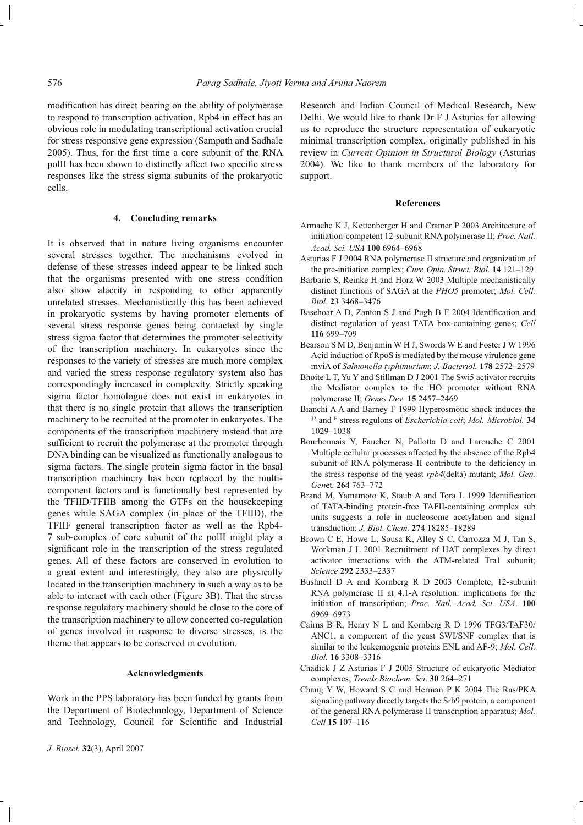modification has direct bearing on the ability of polymerase to respond to transcription activation, Rpb4 in effect has an obvious role in modulating transcriptional activation crucial for stress responsive gene expression (Sampath and Sadhale 2005). Thus, for the first time a core subunit of the RNA polII has been shown to distinctly affect two specific stress responses like the stress sigma subunits of the prokaryotic cells.

## **4. Concluding remarks**

It is observed that in nature living organisms encounter several stresses together. The mechanisms evolved in defense of these stresses indeed appear to be linked such that the organisms presented with one stress condition also show alacrity in responding to other apparently unrelated stresses. Mechanistically this has been achieved in prokaryotic systems by having promoter elements of several stress response genes being contacted by single stress sigma factor that determines the promoter selectivity of the transcription machinery. In eukaryotes since the responses to the variety of stresses are much more complex and varied the stress response regulatory system also has correspondingly increased in complexity. Strictly speaking sigma factor homologue does not exist in eukaryotes in that there is no single protein that allows the transcription machinery to be recruited at the promoter in eukaryotes. The components of the transcription machinery instead that are sufficient to recruit the polymerase at the promoter through DNA binding can be visualized as functionally analogous to sigma factors. The single protein sigma factor in the basal transcription machinery has been replaced by the multicomponent factors and is functionally best represented by the TFIID/TFIIB among the GTFs on the housekeeping genes while SAGA complex (in place of the TFIID), the TFIIF general transcription factor as well as the Rpb4- 7 sub-complex of core subunit of the polII might play a significant role in the transcription of the stress regulated genes. All of these factors are conserved in evolution to a great extent and interestingly, they also are physically located in the transcription machinery in such a way as to be able to interact with each other (Figure 3B). That the stress response regulatory machinery should be close to the core of the transcription machinery to allow concerted co-regulation of genes involved in response to diverse stresses, is the theme that appears to be conserved in evolution.

#### **Acknowledgments**

Work in the PPS laboratory has been funded by grants from the Department of Biotechnology, Department of Science and Technology, Council for Scientific and Industrial Research and Indian Council of Medical Research, New Delhi. We would like to thank Dr F J Asturias for allowing us to reproduce the structure representation of eukaryotic minimal transcription complex, originally published in his review in *Current Opinion in Structural Biology* (Asturias 2004). We like to thank members of the laboratory for support.

## **References**

- Armache K J, Kettenberger H and Cramer P 2003 Architecture of initiation-competent 12-subunit RNA polymerase II; *Proc. Natl. Acad. Sci. USA* **100** 6964–6968
- Asturias F J 2004 RNA polymerase II structure and organization of the pre-initiation complex; *Curr. Opin. Struct. Biol.* **14** 121–129
- Barbaric S, Reinke H and Horz W 2003 Multiple mechanistically distinct functions of SAGA at the *PHO5* promoter; *Mol. Cell. Biol*. **23** 3468–3476
- Basehoar A D, Zanton S J and Pugh B F 2004 Identification and distinct regulation of yeast TATA box-containing genes; *Cell* **116** 699–709
- Bearson S M D, Benjamin W H J, Swords W E and Foster J W 1996 Acid induction of RpoS is mediated by the mouse virulence gene mviA of *Salmonella typhimurium*; *J. Bacteriol.* **178** 2572–2579
- Bhoite L T, Yu Y and Stillman D J 2001 The Swi5 activator recruits the Mediator complex to the HO promoter without RNA polymerase II; *Genes Dev*. **15** 2457–2469
- Bianchi A A and Barney F 1999 Hyperosmotic shock induces the 32 and E stress regulons of *Escherichia coli*; *Mol. Microbiol.* **<sup>34</sup>** 1029–1038
- Bourbonnais Y, Faucher N, Pallotta D and Larouche C 2001 Multiple cellular processes affected by the absence of the Rpb4 subunit of RNA polymerase II contribute to the deficiency in the stress response of the yeast *rpb4*(delta) mutant; *Mol. Gen. Gen*et*.* **264** 763–772
- Brand M, Yamamoto K, Staub A and Tora L 1999 Identification of TATA-binding protein-free TAFII-containing complex sub units suggests a role in nucleosome acetylation and signal transduction; *J. Biol. Chem.* **274** 18285–18289
- Brown C E, Howe L, Sousa K, Alley S C, Carrozza M J, Tan S, Workman J L 2001 Recruitment of HAT complexes by direct activator interactions with the ATM-related Tra1 subunit; *Science* **292** 2333–2337
- Bushnell D A and Kornberg R D 2003 Complete, 12-subunit RNA polymerase II at 4.1-A resolution: implications for the initiation of transcription; *Proc. Natl. Acad. Sci. USA*. **100**  6969–6973
- Cairns B R, Henry N L and Kornberg R D 1996 TFG3/TAF30/ ANC1, a component of the yeast SWI/SNF complex that is similar to the leukemogenic proteins ENL and AF-9; *Mol. Cell. Biol.* **16** 3308–3316
- Chadick J Z Asturias F J 2005 Structure of eukaryotic Mediator complexes; *Trends Biochem. Sci*. **30** 264–271
- Chang Y W, Howard S C and Herman P K 2004 The Ras/PKA signaling pathway directly targets the Srb9 protein, a component of the general RNA polymerase II transcription apparatus; *Mol. Cell* **15** 107–116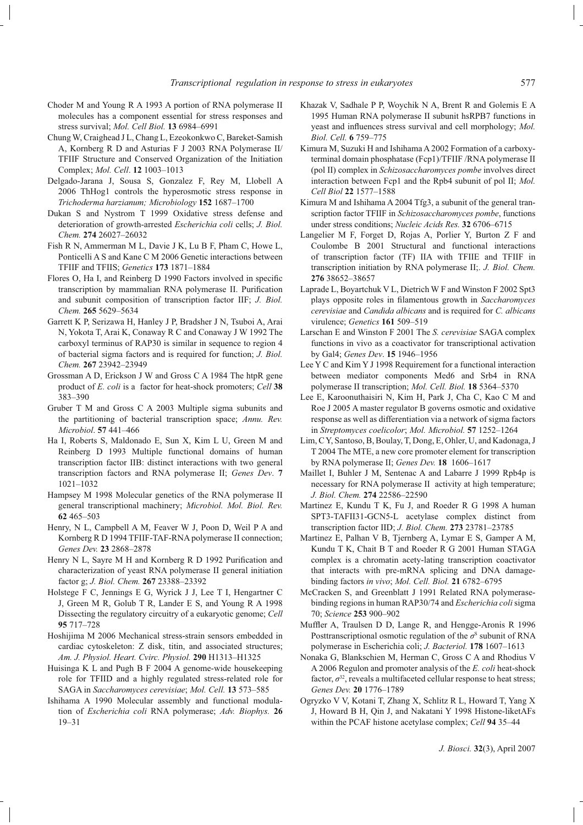- Choder M and Young R A 1993 A portion of RNA polymerase II molecules has a component essential for stress responses and stress survival; *Mol. Cell Biol.* **13** 6984–6991
- Chung W, Craighead J L, Chang L, Ezeokonkwo C, Bareket-Samish A, Kornberg R D and Asturias F J 2003 RNA Polymerase II/ TFIIF Structure and Conserved Organization of the Initiation Complex; *Mol. Cell*. **12** 1003–1013
- Delgado-Jarana J, Sousa S, Gonzalez F, Rey M, Llobell A 2006 ThHog1 controls the hyperosmotic stress response in *Trichoderma harzianum; Microbiology* **152** 1687–1700
- Dukan S and Nystrom T 1999 Oxidative stress defense and deterioration of growth-arrested *Escherichia coli* cells; *J. Biol. Chem.* **274** 26027–26032
- Fish R N, Ammerman M L, Davie J K, Lu B F, Pham C, Howe L, Ponticelli A S and Kane C M 2006 Genetic interactions between TFIIF and TFIIS; *Genetics* **173** 1871–1884
- Flores O, Ha I, and Reinberg D 1990 Factors involved in specific transcription by mammalian RNA polymerase II. Purification and subunit composition of transcription factor IIF; *J. Biol. Chem.* **265** 5629–5634
- Garrett K P, Serizawa H, Hanley J P, Bradsher J N, Tsuboi A, Arai N, Yokota T, Arai K, Conaway R C and Conaway J W 1992 The carboxyl terminus of RAP30 is similar in sequence to region 4 of bacterial sigma factors and is required for function; *J. Biol. Chem.* **267** 23942–23949
- Grossman A D, Erickson J W and Gross C A 1984 The htpR gene product of *E. coli* is a factor for heat-shock promoters; *Cell* **38** 383–390
- Gruber T M and Gross C A 2003 Multiple sigma subunits and the partitioning of bacterial transcription space; *Annu. Rev. Microbiol*. **57** 441–466
- Ha I, Roberts S, Maldonado E, Sun X, Kim L U, Green M and Reinberg D 1993 Multiple functional domains of human transcription factor IIB: distinct interactions with two general transcription factors and RNA polymerase II; *Genes Dev*. **7** 1021–1032
- Hampsey M 1998 Molecular genetics of the RNA polymerase II general transcriptional machinery; *Microbiol. Mol. Biol. Rev.* **62** 465–503
- Henry, N L, Campbell A M, Feaver W J, Poon D, Weil P A and Kornberg R D 1994 TFIIF-TAF-RNA polymerase II connection; *Genes Dev.* **23** 2868–2878
- Henry N L, Sayre M H and Kornberg R D 1992 Purification and characterization of yeast RNA polymerase II general initiation factor g; *J. Biol. Chem.* **267** 23388–23392
- Holstege F C, Jennings E G, Wyrick J J, Lee T I, Hengartner C J, Green M R, Golub T R, Lander E S, and Young R A 1998 Dissecting the regulatory circuitry of a eukaryotic genome; *Cell* **95** 717–728
- Hoshijima M 2006 Mechanical stress-strain sensors embedded in cardiac cytoskeleton: Z disk, titin, and associated structures; *Am. J. Physiol. Heart. Cvirc. Physiol.* **290** H1313–H1325
- Huisinga K L and Pugh B F 2004 A genome-wide housekeeping role for TFIID and a highly regulated stress-related role for SAGA in *Saccharomyces cerevisiae*; *Mol. Cell.* **13** 573–585
- Ishihama A 1990 Molecular assembly and functional modulation of *Escherichia coli* RNA polymerase; *Adv. Biophys.* **26** 19–31
- Khazak V, Sadhale P P, Woychik N A, Brent R and Golemis E A 1995 Human RNA polymerase II subunit hsRPB7 functions in yeast and influences stress survival and cell morphology; *Mol. Biol. Cell.* **6** 759–775
- Kimura M, Suzuki H and Ishihama A 2002 Formation of a carboxyterminal domain phosphatase (Fcp1)/TFIIF /RNA polymerase II (pol II) complex in *Schizosaccharomyces pombe* involves direct interaction between Fcp1 and the Rpb4 subunit of pol II; *Mol. Cell Biol* **22** 1577–1588
- Kimura M and Ishihama A 2004 Tfg3, a subunit of the general transcription factor TFIIF in *Schizosaccharomyces pombe*, functions under stress conditions; *Nucleic Acids Res.* **32** 6706–6715
- Langelier M F, Forget D, Rojas A, Porlier Y, Burton Z F and Coulombe B 2001 Structural and functional interactions of transcription factor (TF) IIA with TFIIE and TFIIF in transcription initiation by RNA polymerase II;. *J. Biol. Chem.* **276** 38652–38657
- Laprade L, Boyartchuk V L, Dietrich W F and Winston F 2002 Spt3 plays opposite roles in filamentous growth in *Saccharomyces cerevisiae* and *Candida albicans* and is required for *C. albicans* virulence; *Genetics* **161** 509–519
- Larschan E and Winston F 2001 The *S. cerevisiae* SAGA complex functions in vivo as a coactivator for transcriptional activation by Gal4; *Genes Dev*. **15** 1946–1956
- Lee Y C and Kim Y J 1998 Requirement for a functional interaction between mediator components Med6 and Srb4 in RNA polymerase II transcription; *Mol. Cell. Biol.* **18** 5364–5370
- Lee E, Karoonuthaisiri N, Kim H, Park J, Cha C, Kao C M and Roe J 2005 A master regulator B governs osmotic and oxidative response as well as differentiation via a network of sigma factors in *Streptomyces coelicolor*; *Mol. Microbiol.* **57** 1252–1264
- Lim, C Y, Santoso, B, Boulay, T, Dong, E, Ohler, U, and Kadonaga, J T 2004 The MTE, a new core promoter element for transcription by RNA polymerase II; *Genes Dev.* **18** 1606–1617
- Maillet I, Buhler J M, Sentenac A and Labarre J 1999 Rpb4p is necessary for RNA polymerase II activity at high temperature; *J. Biol. Chem.* **274** 22586–22590
- Martinez E, Kundu T K, Fu J, and Roeder R G 1998 A human SPT3-TAFII31-GCN5-L acetylase complex distinct from transcription factor IID; *J. Biol. Chem.* **273** 23781–23785
- Martinez E, Palhan V B, Tjernberg A, Lymar E S, Gamper A M, Kundu T K, Chait B T and Roeder R G 2001 Human STAGA complex is a chromatin acety-lating transcription coactivator that interacts with pre-mRNA splicing and DNA damagebinding factors *in vivo*; *Mol. Cell. Biol.* **21** 6782–6795
- McCracken S, and Greenblatt J 1991 Related RNA polymerasebinding regions in human RAP30/74 and *Escherichia coli* sigma 70; *Science* **253** 900–902
- Muffler A, Traulsen D D, Lange R, and Hengge-Aronis R 1996 Posttranscriptional osmotic regulation of the σ<sup>S</sup> subunit of RNA polymerase in Escherichia coli; *J. Bacteriol.* **178** 1607–1613
- Nonaka G, Blankschien M, Herman C, Gross C A and Rhodius V A 2006 Regulon and promoter analysis of the *E. coli* heat-shock factor,  $\sigma^{32}$ , reveals a multifaceted cellular response to heat stress; *Genes Dev.* **20** 1776–1789
- Ogryzko V V, Kotani T, Zhang X, Schlitz R L, Howard T, Yang X J, Howard B H, Qin J, and Nakatani Y 1998 Histone-liketAFs within the PCAF histone acetylase complex; *Cell* **94** 35–44

*J. Biosci.* **32**(3), April 2007